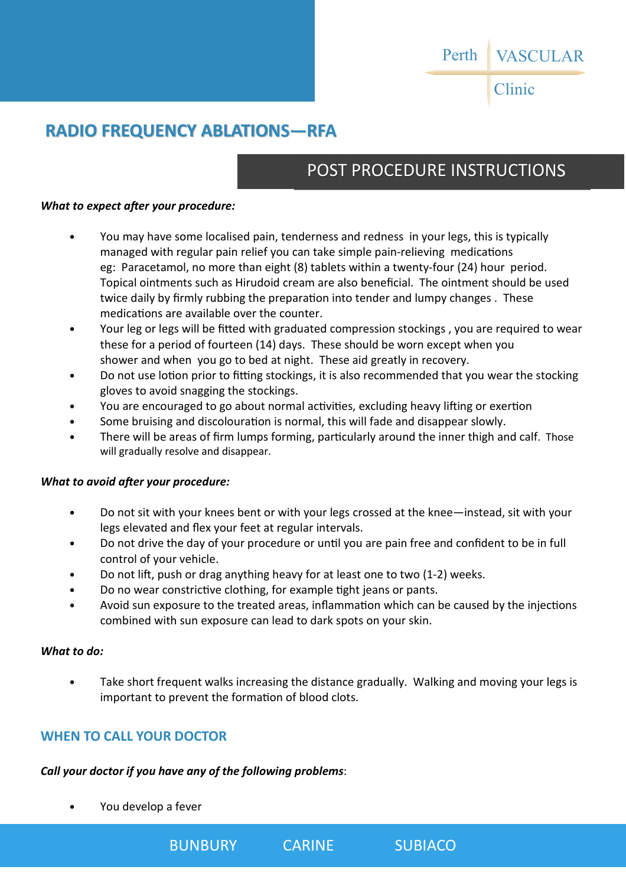#### VASCULAR Perth

Clinic

# **RADIO FREQUENCY ABLATIONS—RFA**

# POST PROCEDURE INSTRUCTIONS

### *What to expect after your procedure:*

- You may have some localised pain, tenderness and redness in your legs, this is typically managed with regular pain relief you can take simple pain-relieving medications eg: Paracetamol, no more than eight (8) tablets within a twenty-four (24) hour period. Topical ointments such as Hirudoid cream are also beneficial. The ointment should be used twice daily by firmly rubbing the preparation into tender and lumpy changes. These medications are available over the counter.
- Your leg or legs will be fitted with graduated compression stockings, you are required to wear these for a period of fourteen (14) days. These should be worn except when you shower and when you go to bed at night. These aid greatly in recovery.
- Do not use lotion prior to fitting stockings, it is also recommended that you wear the stocking gloves to avoid snagging the stockings.
- You are encouraged to go about normal activities, excluding heavy lifting or exertion
- $\bullet$  Some bruising and discolouration is normal, this will fade and disappear slowly.
- There will be areas of firm lumps forming, particularly around the inner thigh and calf. Those will gradually resolve and disappear.

## *What to avoid after your procedure:*

- Do not sit with your knees bent or with your legs crossed at the knee—instead, sit with your legs elevated and flex your feet at regular intervals.
- Do not drive the day of your procedure or until you are pain free and confident to be in full control of your vehicle.
- Do not lift, push or drag anything heavy for at least one to two (1-2) weeks.
- Do no wear constrictive clothing, for example tight jeans or pants.
- Avoid sun exposure to the treated areas, inflammation which can be caused by the injections combined with sun exposure can lead to dark spots on your skin.

### *What to do:*

• Take short frequent walks increasing the distance gradually. Walking and moving your legs is important to prevent the formation of blood clots.

# **WHEN TO CALL YOUR DOCTOR**

## *Call your doctor if you have any of the following problems*:

• You develop a fever